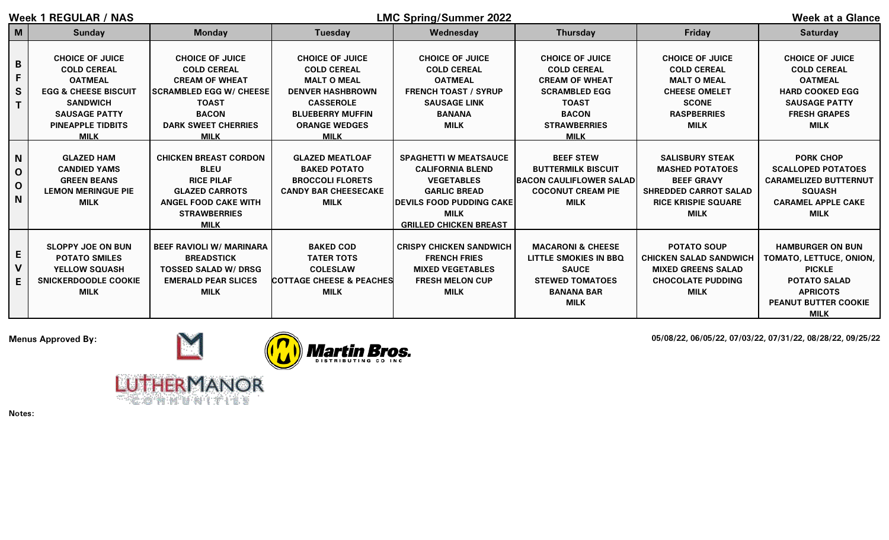| Week 1 REGULAR / NAS                                   |                                                                                                                                                                                         |                                                                                                                                                                                      |                                                                                                                                                                                     | <b>LMC Spring/Summer 2022</b>                                                                                                                                                           | <b>Week at a Glance</b>                                                                                                                                             |                                                                                                                                                    |                                                                                                                                                             |
|--------------------------------------------------------|-----------------------------------------------------------------------------------------------------------------------------------------------------------------------------------------|--------------------------------------------------------------------------------------------------------------------------------------------------------------------------------------|-------------------------------------------------------------------------------------------------------------------------------------------------------------------------------------|-----------------------------------------------------------------------------------------------------------------------------------------------------------------------------------------|---------------------------------------------------------------------------------------------------------------------------------------------------------------------|----------------------------------------------------------------------------------------------------------------------------------------------------|-------------------------------------------------------------------------------------------------------------------------------------------------------------|
| M                                                      | <b>Sunday</b>                                                                                                                                                                           | <b>Monday</b>                                                                                                                                                                        | Tuesday                                                                                                                                                                             | Wednesday                                                                                                                                                                               | <b>Thursday</b>                                                                                                                                                     | Friday                                                                                                                                             | <b>Saturday</b>                                                                                                                                             |
| B<br>F<br>S                                            | <b>CHOICE OF JUICE</b><br><b>COLD CEREAL</b><br><b>OATMEAL</b><br><b>EGG &amp; CHEESE BISCUIT</b><br><b>SANDWICH</b><br><b>SAUSAGE PATTY</b><br><b>PINEAPPLE TIDBITS</b><br><b>MILK</b> | <b>CHOICE OF JUICE</b><br><b>COLD CEREAL</b><br><b>CREAM OF WHEAT</b><br><b>SCRAMBLED EGG W/ CHEESE</b><br><b>TOAST</b><br><b>BACON</b><br><b>DARK SWEET CHERRIES</b><br><b>MILK</b> | <b>CHOICE OF JUICE</b><br><b>COLD CEREAL</b><br><b>MALT O MEAL</b><br><b>DENVER HASHBROWN</b><br><b>CASSEROLE</b><br><b>BLUEBERRY MUFFIN</b><br><b>ORANGE WEDGES</b><br><b>MILK</b> | <b>CHOICE OF JUICE</b><br><b>COLD CEREAL</b><br><b>OATMEAL</b><br><b>FRENCH TOAST / SYRUP</b><br><b>SAUSAGE LINK</b><br><b>BANANA</b><br><b>MILK</b>                                    | <b>CHOICE OF JUICE</b><br><b>COLD CEREAL</b><br><b>CREAM OF WHEAT</b><br><b>SCRAMBLED EGG</b><br><b>TOAST</b><br><b>BACON</b><br><b>STRAWBERRIES</b><br><b>MILK</b> | <b>CHOICE OF JUICE</b><br><b>COLD CEREAL</b><br><b>MALT O MEAL</b><br><b>CHEESE OMELET</b><br><b>SCONE</b><br><b>RASPBERRIES</b><br><b>MILK</b>    | <b>CHOICE OF JUICE</b><br><b>COLD CEREAL</b><br><b>OATMEAL</b><br><b>HARD COOKED EGG</b><br><b>SAUSAGE PATTY</b><br><b>FRESH GRAPES</b><br><b>MILK</b>      |
| $\mathbf N$<br>$\mathbf 0$<br>$\mathbf{O}$<br><b>N</b> | <b>GLAZED HAM</b><br><b>CANDIED YAMS</b><br><b>GREEN BEANS</b><br><b>LEMON MERINGUE PIE</b><br><b>MILK</b>                                                                              | <b>CHICKEN BREAST CORDON</b><br><b>BLEU</b><br><b>RICE PILAF</b><br><b>GLAZED CARROTS</b><br><b>ANGEL FOOD CAKE WITH</b><br><b>STRAWBERRIES</b><br><b>MILK</b>                       | <b>GLAZED MEATLOAF</b><br><b>BAKED POTATO</b><br><b>BROCCOLI FLORETS</b><br><b>CANDY BAR CHEESECAKE</b><br><b>MILK</b>                                                              | <b>SPAGHETTI W MEATSAUCE</b><br><b>CALIFORNIA BLEND</b><br><b>VEGETABLES</b><br><b>GARLIC BREAD</b><br><b>IDEVILS FOOD PUDDING CAKE</b><br><b>MILK</b><br><b>GRILLED CHICKEN BREAST</b> | <b>BEEF STEW</b><br><b>BUTTERMILK BISCUIT</b><br><b>BACON CAULIFLOWER SALAD</b><br><b>COCONUT CREAM PIE</b><br><b>MILK</b>                                          | <b>SALISBURY STEAK</b><br><b>MASHED POTATOES</b><br><b>BEEF GRAVY</b><br><b>SHREDDED CARROT SALAD</b><br><b>RICE KRISPIE SQUARE</b><br><b>MILK</b> | <b>PORK CHOP</b><br><b>SCALLOPED POTATOES</b><br><b>CARAMELIZED BUTTERNUT</b><br><b>SQUASH</b><br><b>CARAMEL APPLE CAKE</b><br><b>MILK</b>                  |
| E<br>$\mathsf{V}$<br>E                                 | <b>SLOPPY JOE ON BUN</b><br><b>POTATO SMILES</b><br><b>YELLOW SQUASH</b><br><b>SNICKERDOODLE COOKIE</b><br><b>MILK</b>                                                                  | <b>BEEF RAVIOLI W/ MARINARA</b><br><b>BREADSTICK</b><br><b>TOSSED SALAD W/ DRSG</b><br><b>EMERALD PEAR SLICES</b><br><b>MILK</b>                                                     | <b>BAKED COD</b><br><b>TATER TOTS</b><br><b>COLESLAW</b><br><b>COTTAGE CHEESE &amp; PEACHES</b><br><b>MILK</b>                                                                      | <b>CRISPY CHICKEN SANDWICH</b><br><b>FRENCH FRIES</b><br><b>MIXED VEGETABLES</b><br><b>FRESH MELON CUP</b><br><b>MILK</b>                                                               | <b>MACARONI &amp; CHEESE</b><br>LITTLE SMOKIES IN BBQ<br><b>SAUCE</b><br><b>STEWED TOMATOES</b><br><b>BANANA BAR</b><br><b>MILK</b>                                 | <b>POTATO SOUP</b><br><b>CHICKEN SALAD SANDWICH</b><br><b>MIXED GREENS SALAD</b><br><b>CHOCOLATE PUDDING</b><br><b>MILK</b>                        | <b>HAMBURGER ON BUN</b><br>TOMATO, LETTUCE, ONION,<br><b>PICKLE</b><br><b>POTATO SALAD</b><br><b>APRICOTS</b><br><b>PEANUT BUTTER COOKIE</b><br><b>MILK</b> |



COMMUNITIES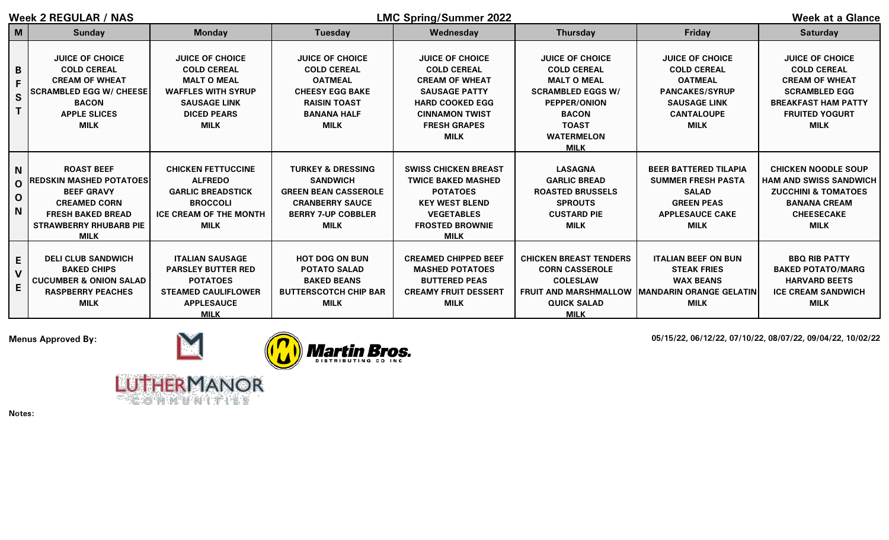| Week 2 REGULAR / NAS                     |                                                                                                                                                                              |                                                                                                                                                             |                                                                                                                                                      | <b>LMC Spring/Summer 2022</b>                                                                                                                                                          | <b>Week at a Glance</b>                                                                                                                                                                   |                                                                                                                                                    |                                                                                                                                                                     |
|------------------------------------------|------------------------------------------------------------------------------------------------------------------------------------------------------------------------------|-------------------------------------------------------------------------------------------------------------------------------------------------------------|------------------------------------------------------------------------------------------------------------------------------------------------------|----------------------------------------------------------------------------------------------------------------------------------------------------------------------------------------|-------------------------------------------------------------------------------------------------------------------------------------------------------------------------------------------|----------------------------------------------------------------------------------------------------------------------------------------------------|---------------------------------------------------------------------------------------------------------------------------------------------------------------------|
| M                                        | <b>Sunday</b>                                                                                                                                                                | <b>Monday</b>                                                                                                                                               | <b>Tuesday</b>                                                                                                                                       | Wednesday                                                                                                                                                                              | <b>Thursday</b>                                                                                                                                                                           | <b>Friday</b>                                                                                                                                      | <b>Saturday</b>                                                                                                                                                     |
| B<br>S                                   | <b>JUICE OF CHOICE</b><br><b>COLD CEREAL</b><br><b>CREAM OF WHEAT</b><br><b>SCRAMBLED EGG W/ CHEESE</b><br><b>BACON</b><br><b>APPLE SLICES</b><br><b>MILK</b>                | <b>JUICE OF CHOICE</b><br><b>COLD CEREAL</b><br><b>MALT O MEAL</b><br><b>WAFFLES WITH SYRUP</b><br><b>SAUSAGE LINK</b><br><b>DICED PEARS</b><br><b>MILK</b> | <b>JUICE OF CHOICE</b><br><b>COLD CEREAL</b><br><b>OATMEAL</b><br><b>CHEESY EGG BAKE</b><br><b>RAISIN TOAST</b><br><b>BANANA HALF</b><br><b>MILK</b> | <b>JUICE OF CHOICE</b><br><b>COLD CEREAL</b><br><b>CREAM OF WHEAT</b><br><b>SAUSAGE PATTY</b><br><b>HARD COOKED EGG</b><br><b>CINNAMON TWIST</b><br><b>FRESH GRAPES</b><br><b>MILK</b> | <b>JUICE OF CHOICE</b><br><b>COLD CEREAL</b><br><b>MALT O MEAL</b><br><b>SCRAMBLED EGGS W/</b><br><b>PEPPER/ONION</b><br><b>BACON</b><br><b>TOAST</b><br><b>WATERMELON</b><br><b>MILK</b> | <b>JUICE OF CHOICE</b><br><b>COLD CEREAL</b><br><b>OATMEAL</b><br><b>PANCAKES/SYRUP</b><br><b>SAUSAGE LINK</b><br><b>CANTALOUPE</b><br><b>MILK</b> | <b>JUICE OF CHOICE</b><br><b>COLD CEREAL</b><br><b>CREAM OF WHEAT</b><br><b>SCRAMBLED EGG</b><br><b>BREAKFAST HAM PATTY</b><br><b>FRUITED YOGURT</b><br><b>MILK</b> |
| <b>N</b><br>$\Omega$<br>$\mathbf 0$<br>N | <b>ROAST BEEF</b><br><b>IREDSKIN MASHED POTATOES</b><br><b>BEEF GRAVY</b><br><b>CREAMED CORN</b><br><b>FRESH BAKED BREAD</b><br><b>STRAWBERRY RHUBARB PIE</b><br><b>MILK</b> | <b>CHICKEN FETTUCCINE</b><br><b>ALFREDO</b><br><b>GARLIC BREADSTICK</b><br><b>BROCCOLI</b><br><b>ICE CREAM OF THE MONTH</b><br><b>MILK</b>                  | <b>TURKEY &amp; DRESSING</b><br><b>SANDWICH</b><br><b>GREEN BEAN CASSEROLE</b><br><b>CRANBERRY SAUCE</b><br><b>BERRY 7-UP COBBLER</b><br><b>MILK</b> | <b>SWISS CHICKEN BREAST</b><br><b>TWICE BAKED MASHED</b><br><b>POTATOES</b><br><b>KEY WEST BLEND</b><br><b>VEGETABLES</b><br><b>FROSTED BROWNIE</b><br><b>MILK</b>                     | <b>LASAGNA</b><br><b>GARLIC BREAD</b><br><b>ROASTED BRUSSELS</b><br><b>SPROUTS</b><br><b>CUSTARD PIE</b><br><b>MILK</b>                                                                   | <b>BEER BATTERED TILAPIA</b><br><b>SUMMER FRESH PASTA</b><br><b>SALAD</b><br><b>GREEN PEAS</b><br><b>APPLESAUCE CAKE</b><br><b>MILK</b>            | <b>CHICKEN NOODLE SOUP</b><br><b>HAM AND SWISS SANDWICH</b><br><b>ZUCCHINI &amp; TOMATOES</b><br><b>BANANA CREAM</b><br><b>CHEESECAKE</b><br><b>MILK</b>            |
| E<br>$\mathbf{V}$<br>E                   | <b>DELI CLUB SANDWICH</b><br><b>BAKED CHIPS</b><br><b>CUCUMBER &amp; ONION SALAD</b><br><b>RASPBERRY PEACHES</b><br><b>MILK</b>                                              | <b>ITALIAN SAUSAGE</b><br><b>PARSLEY BUTTER RED</b><br><b>POTATOES</b><br><b>STEAMED CAULIFLOWER</b><br><b>APPLESAUCE</b><br><b>MILK</b>                    | <b>HOT DOG ON BUN</b><br><b>POTATO SALAD</b><br><b>BAKED BEANS</b><br><b>BUTTERSCOTCH CHIP BAR</b><br><b>MILK</b>                                    | <b>CREAMED CHIPPED BEEF</b><br><b>MASHED POTATOES</b><br><b>BUTTERED PEAS</b><br><b>CREAMY FRUIT DESSERT</b><br><b>MILK</b>                                                            | <b>CHICKEN BREAST TENDERS</b><br><b>CORN CASSEROLE</b><br><b>COLESLAW</b><br><b>FRUIT AND MARSHMALLOW</b><br><b>QUICK SALAD</b><br><b>MILK</b>                                            | <b>ITALIAN BEEF ON BUN</b><br><b>STEAK FRIES</b><br><b>WAX BEANS</b><br><b>IMANDARIN ORANGE GELATIN</b><br><b>MILK</b>                             | <b>BBQ RIB PATTY</b><br><b>BAKED POTATO/MARG</b><br><b>HARVARD BEETS</b><br><b>ICE CREAM SANDWICH</b><br><b>MILK</b>                                                |



COMMUNITIES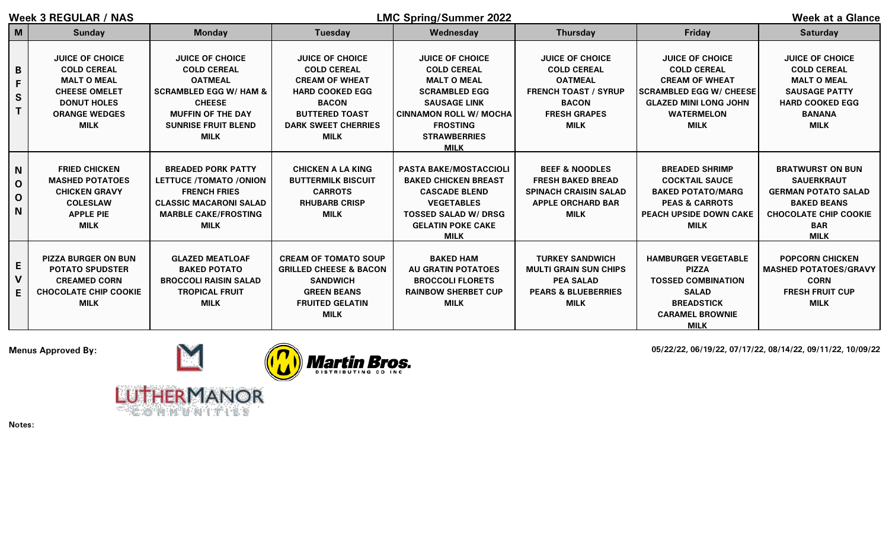| Week 3 REGULAR / NAS                  |                                                                                                                                                         |                                                                                                                                                                                               |                                                                                                                                                                                       | <b>LMC Spring/Summer 2022</b>                                                                                                                                                                               | <b>Week at a Glance</b>                                                                                                                             |                                                                                                                                                                             |                                                                                                                                                               |
|---------------------------------------|---------------------------------------------------------------------------------------------------------------------------------------------------------|-----------------------------------------------------------------------------------------------------------------------------------------------------------------------------------------------|---------------------------------------------------------------------------------------------------------------------------------------------------------------------------------------|-------------------------------------------------------------------------------------------------------------------------------------------------------------------------------------------------------------|-----------------------------------------------------------------------------------------------------------------------------------------------------|-----------------------------------------------------------------------------------------------------------------------------------------------------------------------------|---------------------------------------------------------------------------------------------------------------------------------------------------------------|
| M                                     | <b>Sunday</b>                                                                                                                                           | <b>Monday</b>                                                                                                                                                                                 | <b>Tuesday</b>                                                                                                                                                                        | Wednesday                                                                                                                                                                                                   | <b>Thursday</b>                                                                                                                                     | <b>Friday</b>                                                                                                                                                               | <b>Saturday</b>                                                                                                                                               |
| B<br>F<br>$\mathsf{s}$<br>T           | <b>JUICE OF CHOICE</b><br><b>COLD CEREAL</b><br><b>MALT O MEAL</b><br><b>CHEESE OMELET</b><br><b>DONUT HOLES</b><br><b>ORANGE WEDGES</b><br><b>MILK</b> | <b>JUICE OF CHOICE</b><br><b>COLD CEREAL</b><br><b>OATMEAL</b><br><b>SCRAMBLED EGG W/ HAM &amp;</b><br><b>CHEESE</b><br><b>MUFFIN OF THE DAY</b><br><b>SUNRISE FRUIT BLEND</b><br><b>MILK</b> | <b>JUICE OF CHOICE</b><br><b>COLD CEREAL</b><br><b>CREAM OF WHEAT</b><br><b>HARD COOKED EGG</b><br><b>BACON</b><br><b>BUTTERED TOAST</b><br><b>DARK SWEET CHERRIES</b><br><b>MILK</b> | <b>JUICE OF CHOICE</b><br><b>COLD CEREAL</b><br><b>MALT O MEAL</b><br><b>SCRAMBLED EGG</b><br><b>SAUSAGE LINK</b><br><b>CINNAMON ROLL W/ MOCHA</b><br><b>FROSTING</b><br><b>STRAWBERRIES</b><br><b>MILK</b> | <b>JUICE OF CHOICE</b><br><b>COLD CEREAL</b><br><b>OATMEAL</b><br><b>FRENCH TOAST / SYRUP</b><br><b>BACON</b><br><b>FRESH GRAPES</b><br><b>MILK</b> | <b>JUICE OF CHOICE</b><br><b>COLD CEREAL</b><br><b>CREAM OF WHEAT</b><br><b>SCRAMBLED EGG W/ CHEESE</b><br><b>GLAZED MINI LONG JOHN</b><br><b>WATERMELON</b><br><b>MILK</b> | <b>JUICE OF CHOICE</b><br><b>COLD CEREAL</b><br><b>MALT O MEAL</b><br><b>SAUSAGE PATTY</b><br><b>HARD COOKED EGG</b><br><b>BANANA</b><br><b>MILK</b>          |
| N<br>$\mathbf 0$<br>$\mathbf 0$<br>N. | <b>FRIED CHICKEN</b><br><b>MASHED POTATOES</b><br><b>CHICKEN GRAVY</b><br><b>COLESLAW</b><br><b>APPLE PIE</b><br><b>MILK</b>                            | <b>BREADED PORK PATTY</b><br>LETTUCE /TOMATO /ONION<br><b>FRENCH FRIES</b><br><b>CLASSIC MACARONI SALAD</b><br><b>MARBLE CAKE/FROSTING</b><br><b>MILK</b>                                     | <b>CHICKEN A LA KING</b><br><b>BUTTERMILK BISCUIT</b><br><b>CARROTS</b><br><b>RHUBARB CRISP</b><br><b>MILK</b>                                                                        | <b>PASTA BAKE/MOSTACCIOLI</b><br><b>BAKED CHICKEN BREAST</b><br><b>CASCADE BLEND</b><br><b>VEGETABLES</b><br><b>TOSSED SALAD W/ DRSG</b><br><b>GELATIN POKE CAKE</b><br><b>MILK</b>                         | <b>BEEF &amp; NOODLES</b><br><b>FRESH BAKED BREAD</b><br><b>SPINACH CRAISIN SALAD</b><br><b>APPLE ORCHARD BAR</b><br><b>MILK</b>                    | <b>BREADED SHRIMP</b><br><b>COCKTAIL SAUCE</b><br><b>BAKED POTATO/MARG</b><br><b>PEAS &amp; CARROTS</b><br>PEACH UPSIDE DOWN CAKE<br><b>MILK</b>                            | <b>BRATWURST ON BUN</b><br><b>SAUERKRAUT</b><br><b>GERMAN POTATO SALAD</b><br><b>BAKED BEANS</b><br><b>CHOCOLATE CHIP COOKIE</b><br><b>BAR</b><br><b>MILK</b> |
| E<br>V<br>E                           | <b>PIZZA BURGER ON BUN</b><br><b>POTATO SPUDSTER</b><br><b>CREAMED CORN</b><br><b>CHOCOLATE CHIP COOKIE</b><br><b>MILK</b>                              | <b>GLAZED MEATLOAF</b><br><b>BAKED POTATO</b><br><b>BROCCOLI RAISIN SALAD</b><br><b>TROPICAL FRUIT</b><br><b>MILK</b>                                                                         | <b>CREAM OF TOMATO SOUP</b><br><b>GRILLED CHEESE &amp; BACON</b><br><b>SANDWICH</b><br><b>GREEN BEANS</b><br><b>FRUITED GELATIN</b><br><b>MILK</b>                                    | <b>BAKED HAM</b><br><b>AU GRATIN POTATOES</b><br><b>BROCCOLI FLORETS</b><br><b>RAINBOW SHERBET CUP</b><br><b>MILK</b>                                                                                       | <b>TURKEY SANDWICH</b><br><b>MULTI GRAIN SUN CHIPS</b><br><b>PEA SALAD</b><br><b>PEARS &amp; BLUEBERRIES</b><br><b>MILK</b>                         | <b>HAMBURGER VEGETABLE</b><br><b>PIZZA</b><br><b>TOSSED COMBINATION</b><br><b>SALAD</b><br><b>BREADSTICK</b><br><b>CARAMEL BROWNIE</b><br><b>MILK</b>                       | <b>POPCORN CHICKEN</b><br><b>MASHED POTATOES/GRAVY</b><br><b>CORN</b><br><b>FRESH FRUIT CUP</b><br><b>MILK</b>                                                |



COMMUNITIES